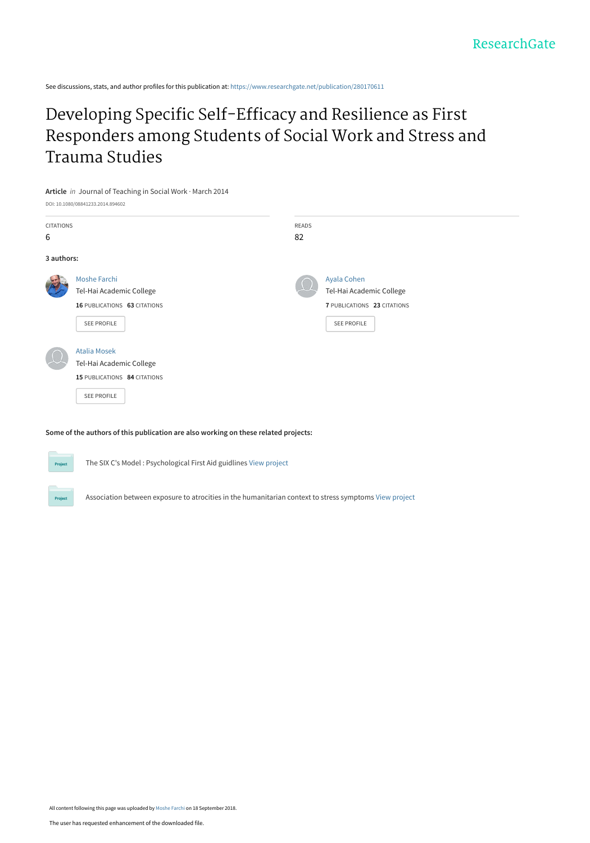See discussions, stats, and author profiles for this publication at: [https://www.researchgate.net/publication/280170611](https://www.researchgate.net/publication/280170611_Developing_Specific_Self-Efficacy_and_Resilience_as_First_Responders_among_Students_of_Social_Work_and_Stress_and_Trauma_Studies?enrichId=rgreq-50e83c1299a253e5759e2e8c8b9fcb2b-XXX&enrichSource=Y292ZXJQYWdlOzI4MDE3MDYxMTtBUzo2NzIxNjYxMTA1NjAyNjZAMTUzNzI2ODI5NzczOQ%3D%3D&el=1_x_2&_esc=publicationCoverPdf)

## Developing Specific Self-Efficacy and Resilience as First [Responders among Students of Social Work and Stress and](https://www.researchgate.net/publication/280170611_Developing_Specific_Self-Efficacy_and_Resilience_as_First_Responders_among_Students_of_Social_Work_and_Stress_and_Trauma_Studies?enrichId=rgreq-50e83c1299a253e5759e2e8c8b9fcb2b-XXX&enrichSource=Y292ZXJQYWdlOzI4MDE3MDYxMTtBUzo2NzIxNjYxMTA1NjAyNjZAMTUzNzI2ODI5NzczOQ%3D%3D&el=1_x_3&_esc=publicationCoverPdf) Trauma Studies

**Article** in Journal of Teaching in Social Work · March 2014

DOI: 10.1080/08841233.2014.894602

| CITATIONS<br>6 |                                                                                                | READS<br>82 |                                                                                       |
|----------------|------------------------------------------------------------------------------------------------|-------------|---------------------------------------------------------------------------------------|
| 3 authors:     |                                                                                                |             |                                                                                       |
|                | Moshe Farchi<br>Tel-Hai Academic College<br>16 PUBLICATIONS 63 CITATIONS<br>SEE PROFILE        |             | Ayala Cohen<br>Tel-Hai Academic College<br>7 PUBLICATIONS 23 CITATIONS<br>SEE PROFILE |
|                | <b>Atalia Mosek</b><br>Tel-Hai Academic College<br>15 PUBLICATIONS 84 CITATIONS<br>SEE PROFILE |             |                                                                                       |

**Some of the authors of this publication are also working on these related projects:**

The SIX C's Model : Psychological First Aid guidlines [View project](https://www.researchgate.net/project/The-SIX-Cs-Model-Psychological-First-Aid-guidlines?enrichId=rgreq-50e83c1299a253e5759e2e8c8b9fcb2b-XXX&enrichSource=Y292ZXJQYWdlOzI4MDE3MDYxMTtBUzo2NzIxNjYxMTA1NjAyNjZAMTUzNzI2ODI5NzczOQ%3D%3D&el=1_x_9&_esc=publicationCoverPdf)

Association between exposure to atrocities in the humanitarian context to stress symptoms [View project](https://www.researchgate.net/project/Association-between-exposure-to-atrocities-in-the-humanitarian-context-to-stress-symptoms?enrichId=rgreq-50e83c1299a253e5759e2e8c8b9fcb2b-XXX&enrichSource=Y292ZXJQYWdlOzI4MDE3MDYxMTtBUzo2NzIxNjYxMTA1NjAyNjZAMTUzNzI2ODI5NzczOQ%3D%3D&el=1_x_9&_esc=publicationCoverPdf)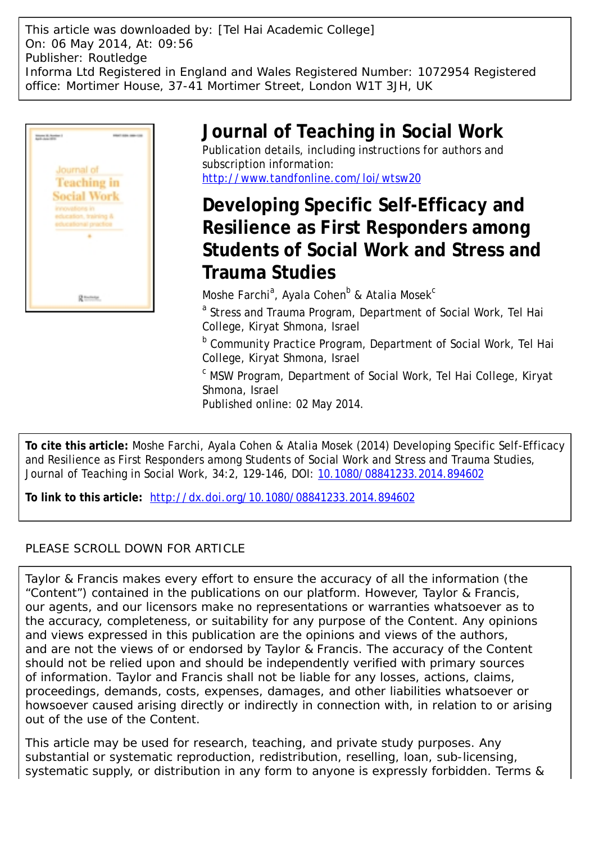This article was downloaded by: [Tel Hai Academic College] On: 06 May 2014, At: 09:56 Publisher: Routledge Informa Ltd Registered in England and Wales Registered Number: 1072954 Registered office: Mortimer House, 37-41 Mortimer Street, London W1T 3JH, UK



# **Journal of Teaching in Social Work**

Publication details, including instructions for authors and subscription information: <http://www.tandfonline.com/loi/wtsw20>

# **Developing Specific Self-Efficacy and Resilience as First Responders among Students of Social Work and Stress and Trauma Studies**

Moshe Farchi<sup>a</sup>, Ayala Cohen<sup>b</sup> & Atalia Mosek<sup>c</sup>

<sup>a</sup> Stress and Trauma Program, Department of Social Work, Tel Hai College, Kiryat Shmona, Israel

<sup>b</sup> Community Practice Program, Department of Social Work, Tel Hai College, Kiryat Shmona, Israel

<sup>c</sup> MSW Program, Department of Social Work, Tel Hai College, Kiryat Shmona, Israel

Published online: 02 May 2014.

**To cite this article:** Moshe Farchi, Ayala Cohen & Atalia Mosek (2014) Developing Specific Self-Efficacy and Resilience as First Responders among Students of Social Work and Stress and Trauma Studies, Journal of Teaching in Social Work, 34:2, 129-146, DOI: [10.1080/08841233.2014.894602](http://www.tandfonline.com/action/showCitFormats?doi=10.1080/08841233.2014.894602)

**To link to this article:** <http://dx.doi.org/10.1080/08841233.2014.894602>

## PLEASE SCROLL DOWN FOR ARTICLE

Taylor & Francis makes every effort to ensure the accuracy of all the information (the "Content") contained in the publications on our platform. However, Taylor & Francis, our agents, and our licensors make no representations or warranties whatsoever as to the accuracy, completeness, or suitability for any purpose of the Content. Any opinions and views expressed in this publication are the opinions and views of the authors, and are not the views of or endorsed by Taylor & Francis. The accuracy of the Content should not be relied upon and should be independently verified with primary sources of information. Taylor and Francis shall not be liable for any losses, actions, claims, proceedings, demands, costs, expenses, damages, and other liabilities whatsoever or howsoever caused arising directly or indirectly in connection with, in relation to or arising out of the use of the Content.

This article may be used for research, teaching, and private study purposes. Any substantial or systematic reproduction, redistribution, reselling, loan, sub-licensing, systematic supply, or distribution in any form to anyone is expressly forbidden. Terms &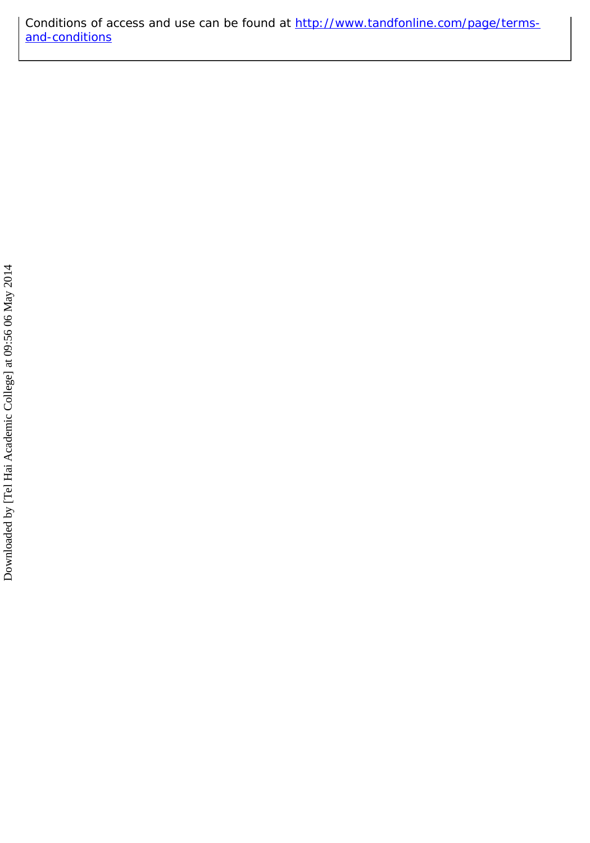Conditions of access and use can be found at [http://www.tandfonline.com/page/terms](http://www.tandfonline.com/page/terms-and-conditions)[and-conditions](http://www.tandfonline.com/page/terms-and-conditions)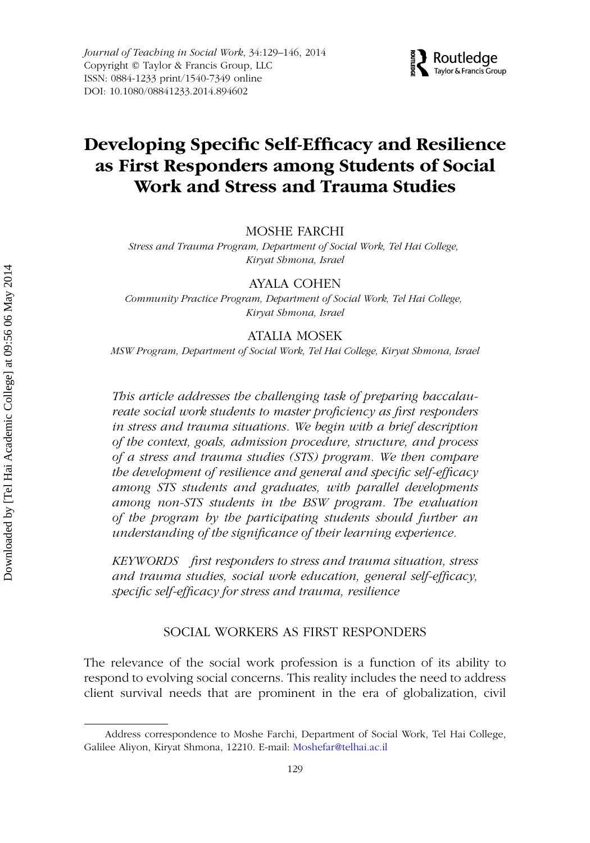*Journal of Teaching in Social Work*, 34:129–146, 2014 Copyright © Taylor & Francis Group, LLC ISSN: 0884-1233 print/1540-7349 online DOI: 10.1080/08841233.2014.894602

## $\frac{3}{2}$  Routledge Taylor & Francis Group

## **Developing Specific Self-Efficacy and Resilience as First Responders among Students of Social Work and Stress and Trauma Studies**

#### MOSHE FARCHI

*Stress and Trauma Program, Department of Social Work, Tel Hai College, Kiryat Shmona, Israel*

AYALA COHEN

*Community Practice Program, Department of Social Work, Tel Hai College, Kiryat Shmona, Israel*

### ATALIA MOSEK

*MSW Program, Department of Social Work, Tel Hai College, Kiryat Shmona, Israel*

*This article addresses the challenging task of preparing baccalaureate social work students to master proficiency as first responders in stress and trauma situations. We begin with a brief description of the context, goals, admission procedure, structure, and process of a stress and trauma studies (STS) program. We then compare the development of resilience and general and specific self-efficacy among STS students and graduates, with parallel developments among non-STS students in the BSW program. The evaluation of the program by the participating students should further an understanding of the significance of their learning experience.*

*KEYWORDS first responders to stress and trauma situation, stress and trauma studies, social work education, general self-efficacy, specific self-efficacy for stress and trauma, resilience*

## SOCIAL WORKERS AS FIRST RESPONDERS

The relevance of the social work profession is a function of its ability to respond to evolving social concerns. This reality includes the need to address client survival needs that are prominent in the era of globalization, civil

Address correspondence to Moshe Farchi, Department of Social Work, Tel Hai College, Galilee Aliyon, Kiryat Shmona, 12210. E-mail: [Moshefar@telhai.ac.il](mailto:Moshefar@telhai.ac.il)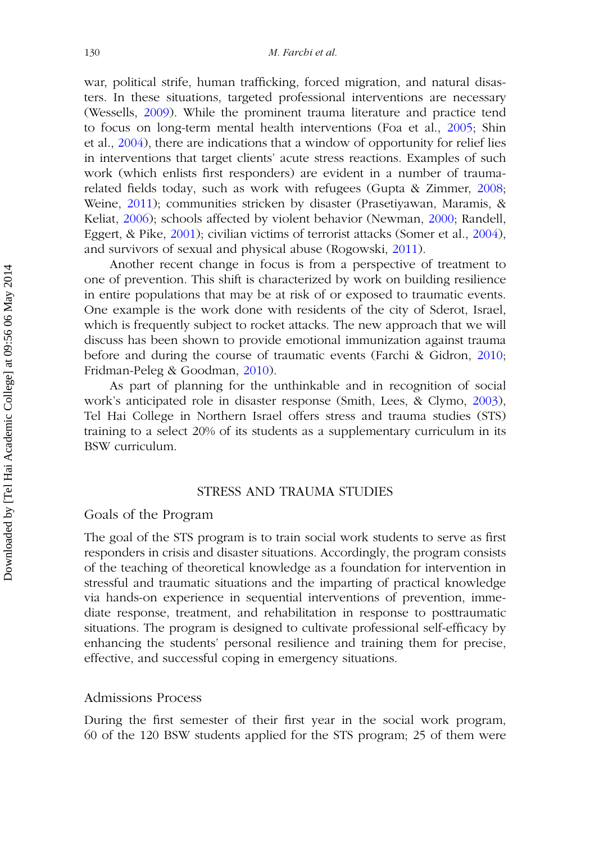war, political strife, human trafficking, forced migration, and natural disasters. In these situations, targeted professional interventions are necessary (Wessells, [2009\)](#page-20-0). While the prominent trauma literature and practice tend to focus on long-term mental health interventions (Foa et al., [2005;](#page-18-0) Shin et al., [2004\)](#page-19-0), there are indications that a window of opportunity for relief lies in interventions that target clients' acute stress reactions. Examples of such work (which enlists first responders) are evident in a number of traumarelated fields today, such as work with refugees (Gupta & Zimmer, [2008;](#page-18-1) Weine, [2011\)](#page-20-1); communities stricken by disaster (Prasetiyawan, Maramis, & Keliat, [2006\)](#page-19-1); schools affected by violent behavior (Newman, [2000;](#page-19-2) Randell, Eggert, & Pike, [2001\)](#page-19-3); civilian victims of terrorist attacks (Somer et al., [2004\)](#page-19-4), and survivors of sexual and physical abuse (Rogowski, [2011\)](#page-19-5).

Another recent change in focus is from a perspective of treatment to one of prevention. This shift is characterized by work on building resilience in entire populations that may be at risk of or exposed to traumatic events. One example is the work done with residents of the city of Sderot, Israel, which is frequently subject to rocket attacks. The new approach that we will discuss has been shown to provide emotional immunization against trauma before and during the course of traumatic events (Farchi & Gidron, [2010;](#page-18-2) Fridman-Peleg & Goodman, [2010\)](#page-18-3).

As part of planning for the unthinkable and in recognition of social work's anticipated role in disaster response (Smith, Lees, & Clymo, [2003\)](#page-19-6), Tel Hai College in Northern Israel offers stress and trauma studies (STS) training to a select 20% of its students as a supplementary curriculum in its BSW curriculum.

### STRESS AND TRAUMA STUDIES

## Goals of the Program

The goal of the STS program is to train social work students to serve as first responders in crisis and disaster situations. Accordingly, the program consists of the teaching of theoretical knowledge as a foundation for intervention in stressful and traumatic situations and the imparting of practical knowledge via hands-on experience in sequential interventions of prevention, immediate response, treatment, and rehabilitation in response to posttraumatic situations. The program is designed to cultivate professional self-efficacy by enhancing the students' personal resilience and training them for precise, effective, and successful coping in emergency situations.

#### Admissions Process

During the first semester of their first year in the social work program, 60 of the 120 BSW students applied for the STS program; 25 of them were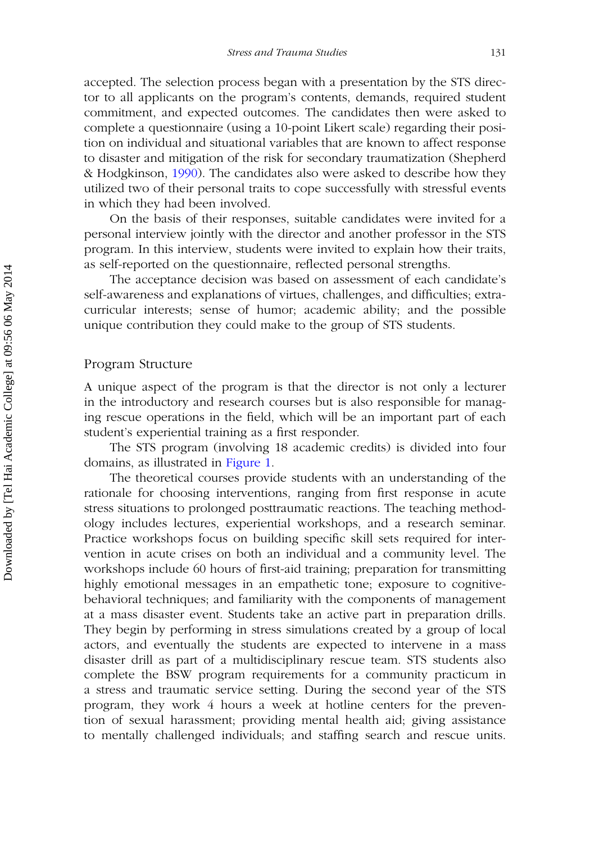accepted. The selection process began with a presentation by the STS director to all applicants on the program's contents, demands, required student commitment, and expected outcomes. The candidates then were asked to complete a questionnaire (using a 10-point Likert scale) regarding their position on individual and situational variables that are known to affect response to disaster and mitigation of the risk for secondary traumatization (Shepherd & Hodgkinson, [1990\)](#page-19-7). The candidates also were asked to describe how they utilized two of their personal traits to cope successfully with stressful events in which they had been involved.

On the basis of their responses, suitable candidates were invited for a personal interview jointly with the director and another professor in the STS program. In this interview, students were invited to explain how their traits, as self-reported on the questionnaire, reflected personal strengths.

The acceptance decision was based on assessment of each candidate's self-awareness and explanations of virtues, challenges, and difficulties; extracurricular interests; sense of humor; academic ability; and the possible unique contribution they could make to the group of STS students.

#### Program Structure

A unique aspect of the program is that the director is not only a lecturer in the introductory and research courses but is also responsible for managing rescue operations in the field, which will be an important part of each student's experiential training as a first responder.

The STS program (involving 18 academic credits) is divided into four domains, as illustrated in [Figure 1.](#page-6-0)

The theoretical courses provide students with an understanding of the rationale for choosing interventions, ranging from first response in acute stress situations to prolonged posttraumatic reactions. The teaching methodology includes lectures, experiential workshops, and a research seminar. Practice workshops focus on building specific skill sets required for intervention in acute crises on both an individual and a community level. The workshops include 60 hours of first-aid training; preparation for transmitting highly emotional messages in an empathetic tone; exposure to cognitivebehavioral techniques; and familiarity with the components of management at a mass disaster event. Students take an active part in preparation drills. They begin by performing in stress simulations created by a group of local actors, and eventually the students are expected to intervene in a mass disaster drill as part of a multidisciplinary rescue team. STS students also complete the BSW program requirements for a community practicum in a stress and traumatic service setting. During the second year of the STS program, they work 4 hours a week at hotline centers for the prevention of sexual harassment; providing mental health aid; giving assistance to mentally challenged individuals; and staffing search and rescue units.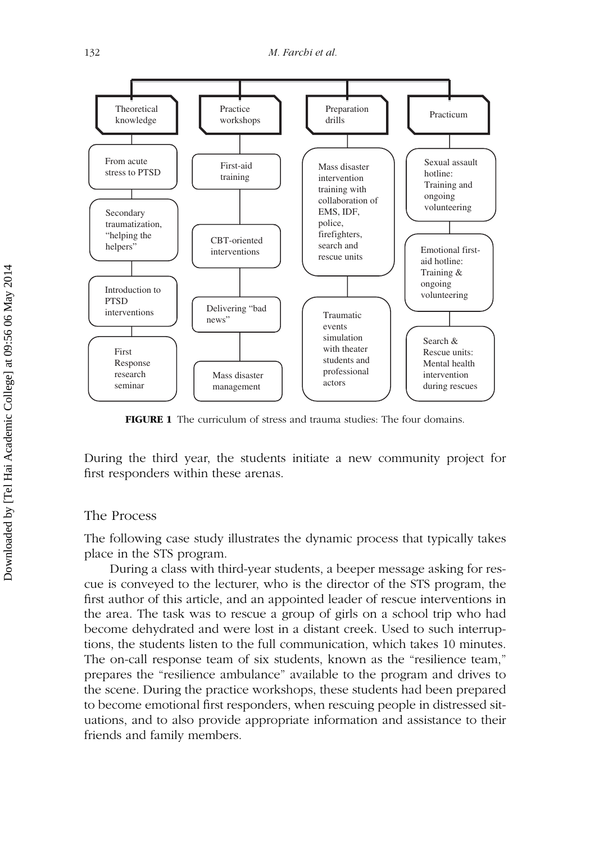<span id="page-6-0"></span>

**FIGURE 1** The curriculum of stress and trauma studies: The four domains.

During the third year, the students initiate a new community project for first responders within these arenas.

## The Process

The following case study illustrates the dynamic process that typically takes place in the STS program.

During a class with third-year students, a beeper message asking for rescue is conveyed to the lecturer, who is the director of the STS program, the first author of this article, and an appointed leader of rescue interventions in the area. The task was to rescue a group of girls on a school trip who had become dehydrated and were lost in a distant creek. Used to such interruptions, the students listen to the full communication, which takes 10 minutes. The on-call response team of six students, known as the "resilience team," prepares the "resilience ambulance" available to the program and drives to the scene. During the practice workshops, these students had been prepared to become emotional first responders, when rescuing people in distressed situations, and to also provide appropriate information and assistance to their friends and family members.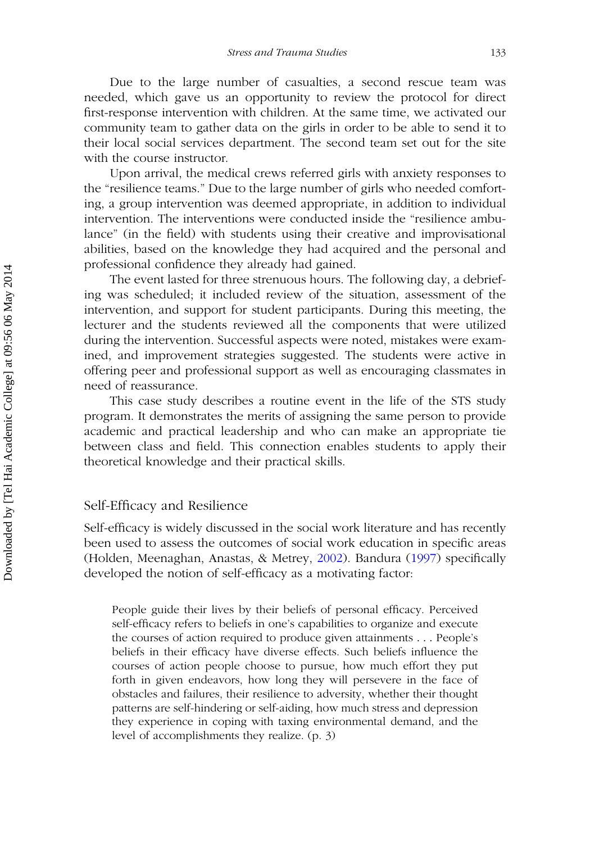Due to the large number of casualties, a second rescue team was needed, which gave us an opportunity to review the protocol for direct first-response intervention with children. At the same time, we activated our community team to gather data on the girls in order to be able to send it to their local social services department. The second team set out for the site with the course instructor.

Upon arrival, the medical crews referred girls with anxiety responses to the "resilience teams." Due to the large number of girls who needed comforting, a group intervention was deemed appropriate, in addition to individual intervention. The interventions were conducted inside the "resilience ambulance" (in the field) with students using their creative and improvisational abilities, based on the knowledge they had acquired and the personal and professional confidence they already had gained.

The event lasted for three strenuous hours. The following day, a debriefing was scheduled; it included review of the situation, assessment of the intervention, and support for student participants. During this meeting, the lecturer and the students reviewed all the components that were utilized during the intervention. Successful aspects were noted, mistakes were examined, and improvement strategies suggested. The students were active in offering peer and professional support as well as encouraging classmates in need of reassurance.

This case study describes a routine event in the life of the STS study program. It demonstrates the merits of assigning the same person to provide academic and practical leadership and who can make an appropriate tie between class and field. This connection enables students to apply their theoretical knowledge and their practical skills.

### Self-Efficacy and Resilience

Self-efficacy is widely discussed in the social work literature and has recently been used to assess the outcomes of social work education in specific areas (Holden, Meenaghan, Anastas, & Metrey, [2002\)](#page-18-4). Bandura [\(1997\)](#page-17-0) specifically developed the notion of self-efficacy as a motivating factor:

People guide their lives by their beliefs of personal efficacy. Perceived self-efficacy refers to beliefs in one's capabilities to organize and execute the courses of action required to produce given attainments *...* People's beliefs in their efficacy have diverse effects. Such beliefs influence the courses of action people choose to pursue, how much effort they put forth in given endeavors, how long they will persevere in the face of obstacles and failures, their resilience to adversity, whether their thought patterns are self-hindering or self-aiding, how much stress and depression they experience in coping with taxing environmental demand, and the level of accomplishments they realize. (p. 3)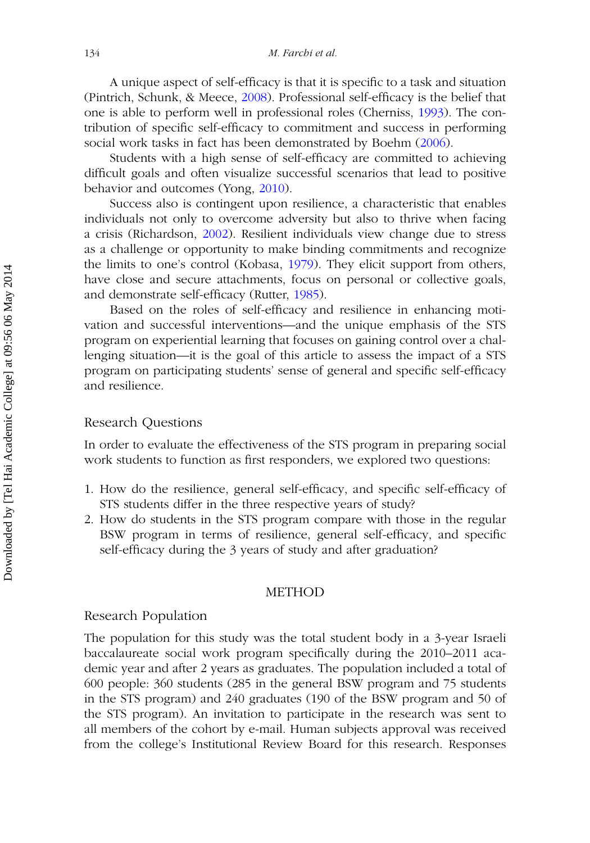A unique aspect of self-efficacy is that it is specific to a task and situation (Pintrich, Schunk, & Meece, [2008\)](#page-19-8). Professional self-efficacy is the belief that one is able to perform well in professional roles (Cherniss, [1993\)](#page-17-1). The contribution of specific self-efficacy to commitment and success in performing social work tasks in fact has been demonstrated by Boehm [\(2006\)](#page-17-2).

Students with a high sense of self-efficacy are committed to achieving difficult goals and often visualize successful scenarios that lead to positive behavior and outcomes (Yong, [2010\)](#page-20-2).

Success also is contingent upon resilience, a characteristic that enables individuals not only to overcome adversity but also to thrive when facing a crisis (Richardson, [2002\)](#page-19-9). Resilient individuals view change due to stress as a challenge or opportunity to make binding commitments and recognize the limits to one's control (Kobasa, [1979\)](#page-18-5). They elicit support from others, have close and secure attachments, focus on personal or collective goals, and demonstrate self-efficacy (Rutter, [1985\)](#page-19-10).

Based on the roles of self-efficacy and resilience in enhancing motivation and successful interventions—and the unique emphasis of the STS program on experiential learning that focuses on gaining control over a challenging situation—it is the goal of this article to assess the impact of a STS program on participating students' sense of general and specific self-efficacy and resilience.

#### Research Questions

In order to evaluate the effectiveness of the STS program in preparing social work students to function as first responders, we explored two questions:

- 1. How do the resilience, general self-efficacy, and specific self-efficacy of STS students differ in the three respective years of study?
- 2. How do students in the STS program compare with those in the regular BSW program in terms of resilience, general self-efficacy, and specific self-efficacy during the 3 years of study and after graduation?

#### METHOD

#### Research Population

The population for this study was the total student body in a 3-year Israeli baccalaureate social work program specifically during the 2010–2011 academic year and after 2 years as graduates. The population included a total of 600 people: 360 students (285 in the general BSW program and 75 students in the STS program) and 240 graduates (190 of the BSW program and 50 of the STS program). An invitation to participate in the research was sent to all members of the cohort by e-mail. Human subjects approval was received from the college's Institutional Review Board for this research. Responses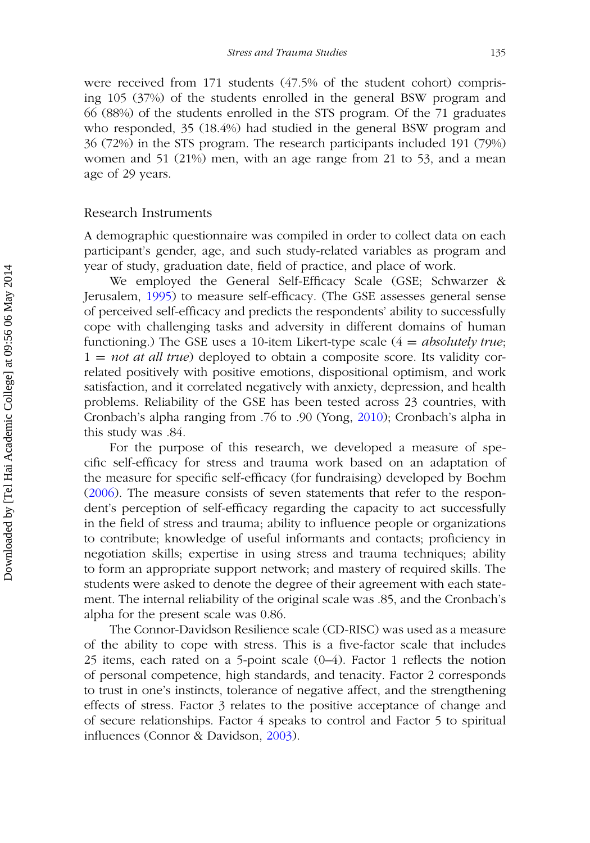were received from 171 students (47.5% of the student cohort) comprising 105 (37%) of the students enrolled in the general BSW program and 66 (88%) of the students enrolled in the STS program. Of the 71 graduates who responded, 35 (18.4%) had studied in the general BSW program and 36 (72%) in the STS program. The research participants included 191 (79%) women and 51 (21%) men, with an age range from 21 to 53, and a mean age of 29 years.

## Research Instruments

A demographic questionnaire was compiled in order to collect data on each participant's gender, age, and such study-related variables as program and year of study, graduation date, field of practice, and place of work.

We employed the General Self-Efficacy Scale (GSE; Schwarzer & Jerusalem, [1995\)](#page-19-11) to measure self-efficacy. (The GSE assesses general sense of perceived self-efficacy and predicts the respondents' ability to successfully cope with challenging tasks and adversity in different domains of human functioning.) The GSE uses a 10-item Likert-type scale (4 = *absolutely true*; 1 = *not at all true*) deployed to obtain a composite score. Its validity correlated positively with positive emotions, dispositional optimism, and work satisfaction, and it correlated negatively with anxiety, depression, and health problems. Reliability of the GSE has been tested across 23 countries, with Cronbach's alpha ranging from .76 to .90 (Yong, [2010\)](#page-20-2); Cronbach's alpha in this study was .84.

For the purpose of this research, we developed a measure of specific self-efficacy for stress and trauma work based on an adaptation of the measure for specific self-efficacy (for fundraising) developed by Boehm [\(2006\)](#page-17-2). The measure consists of seven statements that refer to the respondent's perception of self-efficacy regarding the capacity to act successfully in the field of stress and trauma; ability to influence people or organizations to contribute; knowledge of useful informants and contacts; proficiency in negotiation skills; expertise in using stress and trauma techniques; ability to form an appropriate support network; and mastery of required skills. The students were asked to denote the degree of their agreement with each statement. The internal reliability of the original scale was .85, and the Cronbach's alpha for the present scale was 0.86.

The Connor-Davidson Resilience scale (CD-RISC) was used as a measure of the ability to cope with stress. This is a five-factor scale that includes 25 items, each rated on a 5-point scale (0–4). Factor 1 reflects the notion of personal competence, high standards, and tenacity. Factor 2 corresponds to trust in one's instincts, tolerance of negative affect, and the strengthening effects of stress. Factor 3 relates to the positive acceptance of change and of secure relationships. Factor 4 speaks to control and Factor 5 to spiritual influences (Connor & Davidson, [2003\)](#page-18-6).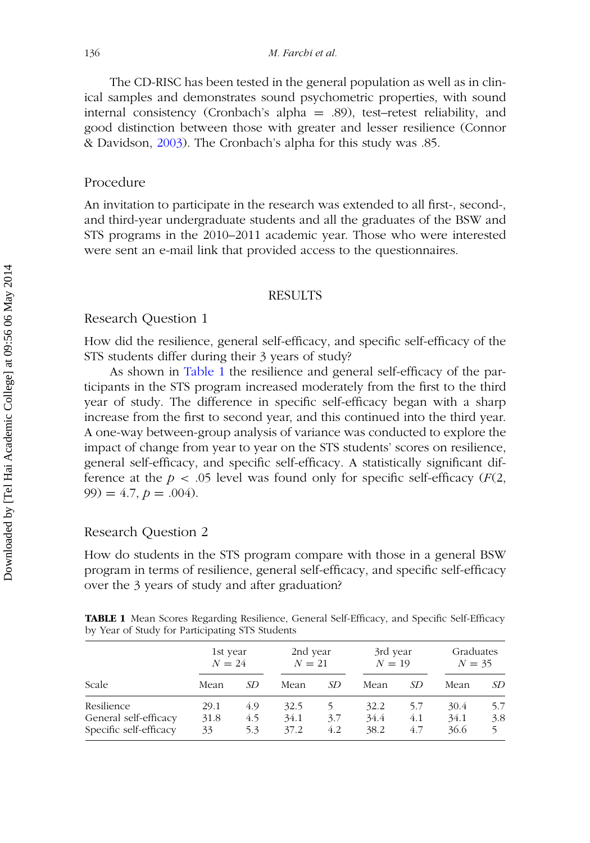The CD-RISC has been tested in the general population as well as in clinical samples and demonstrates sound psychometric properties, with sound internal consistency (Cronbach's alpha  $=$  .89), test–retest reliability, and good distinction between those with greater and lesser resilience (Connor & Davidson, [2003\)](#page-18-6). The Cronbach's alpha for this study was .85.

#### Procedure

An invitation to participate in the research was extended to all first-, second-, and third-year undergraduate students and all the graduates of the BSW and STS programs in the 2010–2011 academic year. Those who were interested were sent an e-mail link that provided access to the questionnaires.

#### RESULTS

#### Research Question 1

How did the resilience, general self-efficacy, and specific self-efficacy of the STS students differ during their 3 years of study?

As shown in [Table 1](#page-10-0) the resilience and general self-efficacy of the participants in the STS program increased moderately from the first to the third year of study. The difference in specific self-efficacy began with a sharp increase from the first to second year, and this continued into the third year. A one-way between-group analysis of variance was conducted to explore the impact of change from year to year on the STS students' scores on resilience, general self-efficacy, and specific self-efficacy. A statistically significant difference at the  $p < .05$  level was found only for specific self-efficacy ( $F(2)$ ,  $99$ ) = 4.7,  $p = .004$ ).

### Research Question 2

How do students in the STS program compare with those in a general BSW program in terms of resilience, general self-efficacy, and specific self-efficacy over the 3 years of study and after graduation?

**TABLE 1** Mean Scores Regarding Resilience, General Self-Efficacy, and Specific Self-Efficacy by Year of Study for Participating STS Students

<span id="page-10-0"></span>

|                                                               | 1st year<br>$N = 24$ |                   | 2nd year<br>$N = 21$ |            | 3rd year<br>$N=19$   |                   | Graduates<br>$N = 35$ |            |
|---------------------------------------------------------------|----------------------|-------------------|----------------------|------------|----------------------|-------------------|-----------------------|------------|
| Scale                                                         | Mean                 | SD                | Mean                 | SD         | Mean                 | SD                | Mean                  | <i>SD</i>  |
| Resilience<br>General self-efficacy<br>Specific self-efficacy | 29.1<br>31.8<br>33   | 4.9<br>4.5<br>5.3 | 32.5<br>34.1<br>37.2 | 3.7<br>4.2 | 32.2<br>34.4<br>38.2 | 5.7<br>4.1<br>4.7 | 30.4<br>34.1<br>36.6  | 5.7<br>3.8 |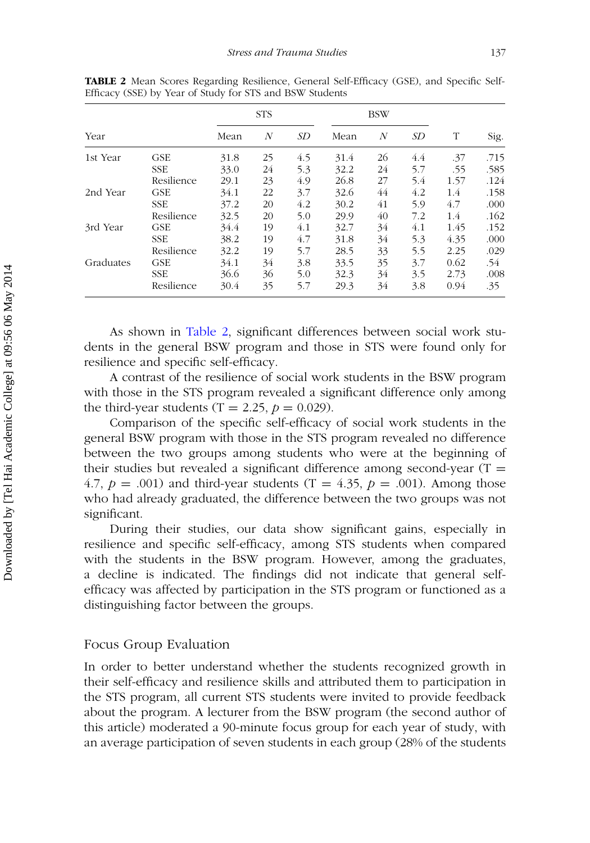<span id="page-11-0"></span>

|           |            | <b>STS</b> |    |     | <b>BSW</b> |    |     |      |      |
|-----------|------------|------------|----|-----|------------|----|-----|------|------|
| Year      |            | Mean       | N  | SD  | Mean       | N  | SD  | T    | Sig. |
| 1st Year  | <b>GSE</b> | 31.8       | 25 | 4.5 | 31.4       | 26 | 4.4 | -37  | .715 |
|           | <b>SSE</b> | 33.0       | 24 | 5.3 | 32.2       | 24 | 5.7 | .55  | .585 |
|           | Resilience | 29.1       | 23 | 4.9 | 26.8       | 27 | 5.4 | 1.57 | .124 |
| 2nd Year  | GSE        | 34.1       | 22 | 3.7 | 32.6       | 44 | 4.2 | 1.4  | .158 |
|           | <b>SSE</b> | 37.2       | 20 | 4.2 | 30.2       | 41 | 5.9 | 4.7  | .000 |
|           | Resilience | 32.5       | 20 | 5.0 | 29.9       | 40 | 7.2 | 1.4  | .162 |
| 3rd Year  | <b>GSE</b> | 34.4       | 19 | 4.1 | 32.7       | 34 | 4.1 | 1.45 | .152 |
|           | <b>SSE</b> | 38.2       | 19 | 4.7 | 31.8       | 34 | 5.3 | 4.35 | .000 |
|           | Resilience | 32.2       | 19 | 5.7 | 28.5       | 33 | 5.5 | 2.25 | .029 |
| Graduates | <b>GSE</b> | 34.1       | 34 | 3.8 | 33.5       | 35 | 3.7 | 0.62 | .54  |
|           | <b>SSE</b> | 36.6       | 36 | 5.0 | 32.3       | 34 | 3.5 | 2.73 | .008 |
|           | Resilience | 30.4       | 35 | 5.7 | 29.3       | 34 | 3.8 | 0.94 | .35  |

**TABLE 2** Mean Scores Regarding Resilience, General Self-Efficacy (GSE), and Specific Self-Efficacy (SSE) by Year of Study for STS and BSW Students

As shown in [Table 2,](#page-11-0) significant differences between social work students in the general BSW program and those in STS were found only for resilience and specific self-efficacy.

A contrast of the resilience of social work students in the BSW program with those in the STS program revealed a significant difference only among the third-year students  $(T = 2.25, p = 0.029)$ .

Comparison of the specific self-efficacy of social work students in the general BSW program with those in the STS program revealed no difference between the two groups among students who were at the beginning of their studies but revealed a significant difference among second-year  $(T =$ 4.7,  $p = .001$ ) and third-year students (T = 4.35,  $p = .001$ ). Among those who had already graduated, the difference between the two groups was not significant.

During their studies, our data show significant gains, especially in resilience and specific self-efficacy, among STS students when compared with the students in the BSW program. However, among the graduates, a decline is indicated. The findings did not indicate that general selfefficacy was affected by participation in the STS program or functioned as a distinguishing factor between the groups.

#### Focus Group Evaluation

In order to better understand whether the students recognized growth in their self-efficacy and resilience skills and attributed them to participation in the STS program, all current STS students were invited to provide feedback about the program. A lecturer from the BSW program (the second author of this article) moderated a 90-minute focus group for each year of study, with an average participation of seven students in each group (28% of the students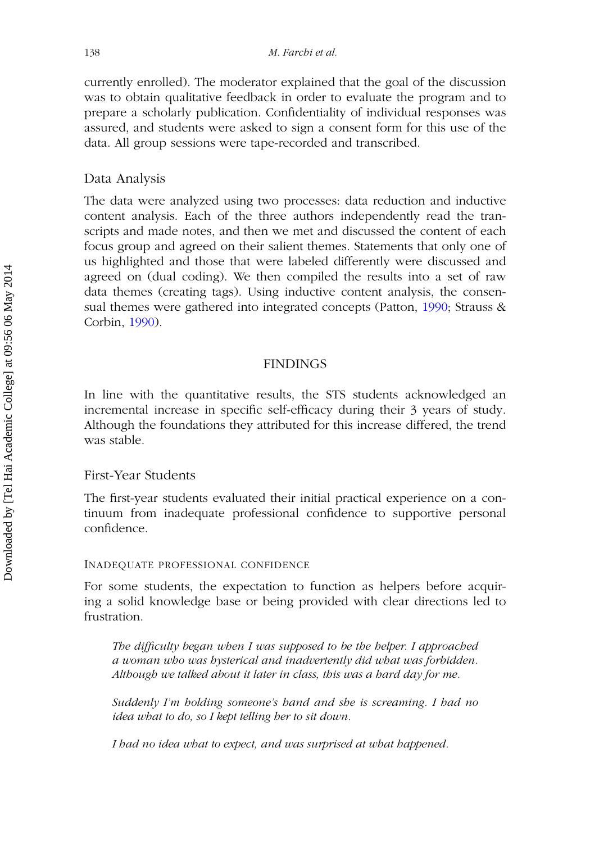currently enrolled). The moderator explained that the goal of the discussion was to obtain qualitative feedback in order to evaluate the program and to prepare a scholarly publication. Confidentiality of individual responses was assured, and students were asked to sign a consent form for this use of the data. All group sessions were tape-recorded and transcribed.

### Data Analysis

The data were analyzed using two processes: data reduction and inductive content analysis. Each of the three authors independently read the transcripts and made notes, and then we met and discussed the content of each focus group and agreed on their salient themes. Statements that only one of us highlighted and those that were labeled differently were discussed and agreed on (dual coding). We then compiled the results into a set of raw data themes (creating tags). Using inductive content analysis, the consensual themes were gathered into integrated concepts (Patton, [1990;](#page-19-12) Strauss & Corbin, [1990\)](#page-19-13).

## FINDINGS

In line with the quantitative results, the STS students acknowledged an incremental increase in specific self-efficacy during their 3 years of study. Although the foundations they attributed for this increase differed, the trend was stable.

## First-Year Students

The first-year students evaluated their initial practical experience on a continuum from inadequate professional confidence to supportive personal confidence.

#### INADEQUATE PROFESSIONAL CONFIDENCE

For some students, the expectation to function as helpers before acquiring a solid knowledge base or being provided with clear directions led to frustration.

*The difficulty began when I was supposed to be the helper. I approached a woman who was hysterical and inadvertently did what was forbidden. Although we talked about it later in class, this was a hard day for me.*

*Suddenly I'm holding someone's hand and she is screaming. I had no idea what to do, so I kept telling her to sit down.*

*I had no idea what to expect, and was surprised at what happened.*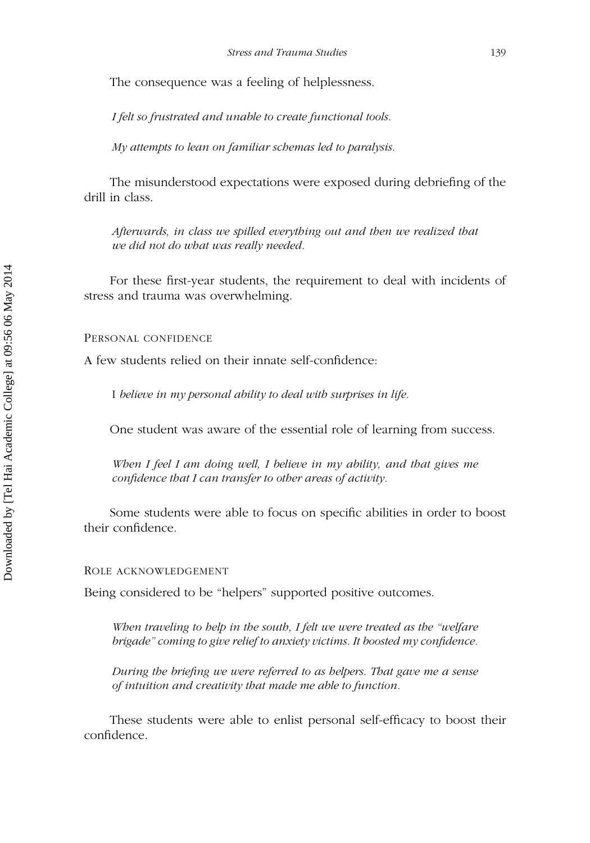The consequence was a feeling of helplessness.

*I felt so frustrated and unable to create functional tools.*

*My attempts to lean on familiar schemas led to paralysis.*

The misunderstood expectations were exposed during debriefing of the drill in class.

*Afterwards, in class we spilled everything out and then we realized that we did not do what was really needed.*

For these first-year students, the requirement to deal with incidents of stress and trauma was overwhelming.

PERSONAL CONFIDENCE

A few students relied on their innate self-confidence:

I *believe in my personal ability to deal with surprises in life.*

One student was aware of the essential role of learning from success.

*When I feel I am doing well, I believe in my ability, and that gives me confidence that I can transfer to other areas of activity.*

Some students were able to focus on specific abilities in order to boost their confidence.

ROLE ACKNOWLEDGEMENT

Being considered to be "helpers" supported positive outcomes.

*When traveling to help in the south, I felt we were treated as the "welfare brigade" coming to give relief to anxiety victims. It boosted my confidence.*

*During the briefing we were referred to as helpers. That gave me a sense of intuition and creativity that made me able to function.*

These students were able to enlist personal self-efficacy to boost their confidence.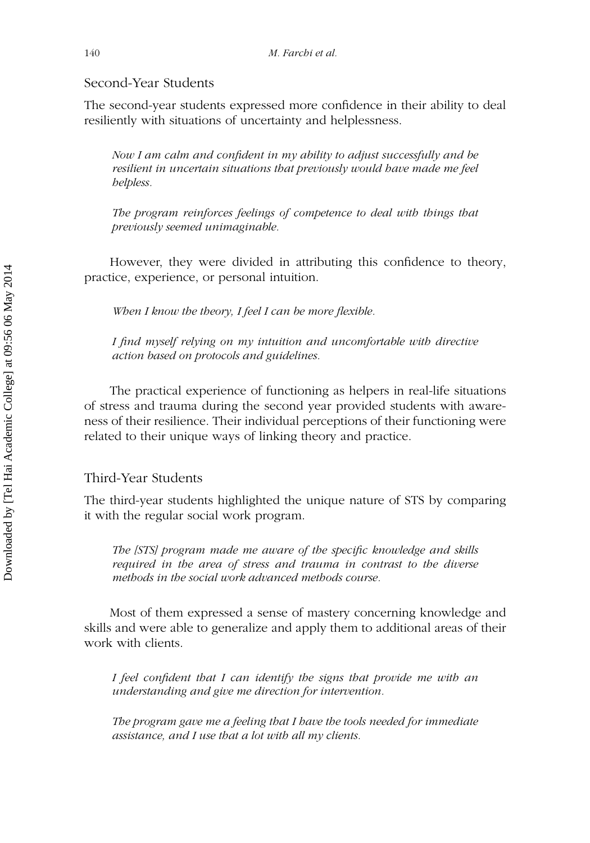## Second-Year Students

The second-year students expressed more confidence in their ability to deal resiliently with situations of uncertainty and helplessness.

*Now I am calm and confident in my ability to adjust successfully and be resilient in uncertain situations that previously would have made me feel helpless.*

*The program reinforces feelings of competence to deal with things that previously seemed unimaginable.*

However, they were divided in attributing this confidence to theory, practice, experience, or personal intuition.

*When I know the theory, I feel I can be more flexible.*

*I find myself relying on my intuition and uncomfortable with directive action based on protocols and guidelines.*

The practical experience of functioning as helpers in real-life situations of stress and trauma during the second year provided students with awareness of their resilience. Their individual perceptions of their functioning were related to their unique ways of linking theory and practice.

## Third-Year Students

The third-year students highlighted the unique nature of STS by comparing it with the regular social work program.

*The [STS] program made me aware of the specific knowledge and skills required in the area of stress and trauma in contrast to the diverse methods in the social work advanced methods course.*

Most of them expressed a sense of mastery concerning knowledge and skills and were able to generalize and apply them to additional areas of their work with clients.

*I feel confident that I can identify the signs that provide me with an understanding and give me direction for intervention.*

*The program gave me a feeling that I have the tools needed for immediate assistance, and I use that a lot with all my clients.*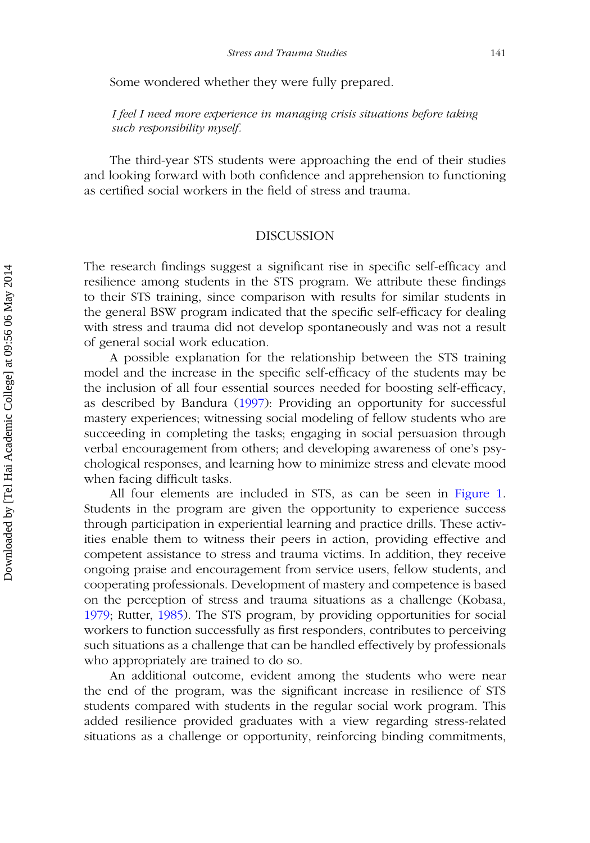Some wondered whether they were fully prepared.

*I feel I need more experience in managing crisis situations before taking such responsibility myself.*

The third-year STS students were approaching the end of their studies and looking forward with both confidence and apprehension to functioning as certified social workers in the field of stress and trauma.

## DISCUSSION

The research findings suggest a significant rise in specific self-efficacy and resilience among students in the STS program. We attribute these findings to their STS training, since comparison with results for similar students in the general BSW program indicated that the specific self-efficacy for dealing with stress and trauma did not develop spontaneously and was not a result of general social work education.

A possible explanation for the relationship between the STS training model and the increase in the specific self-efficacy of the students may be the inclusion of all four essential sources needed for boosting self-efficacy, as described by Bandura [\(1997\)](#page-17-0): Providing an opportunity for successful mastery experiences; witnessing social modeling of fellow students who are succeeding in completing the tasks; engaging in social persuasion through verbal encouragement from others; and developing awareness of one's psychological responses, and learning how to minimize stress and elevate mood when facing difficult tasks.

All four elements are included in STS, as can be seen in [Figure 1.](#page-6-0) Students in the program are given the opportunity to experience success through participation in experiential learning and practice drills. These activities enable them to witness their peers in action, providing effective and competent assistance to stress and trauma victims. In addition, they receive ongoing praise and encouragement from service users, fellow students, and cooperating professionals. Development of mastery and competence is based on the perception of stress and trauma situations as a challenge (Kobasa, [1979;](#page-18-5) Rutter, [1985\)](#page-19-10). The STS program, by providing opportunities for social workers to function successfully as first responders, contributes to perceiving such situations as a challenge that can be handled effectively by professionals who appropriately are trained to do so.

An additional outcome, evident among the students who were near the end of the program, was the significant increase in resilience of STS students compared with students in the regular social work program. This added resilience provided graduates with a view regarding stress-related situations as a challenge or opportunity, reinforcing binding commitments,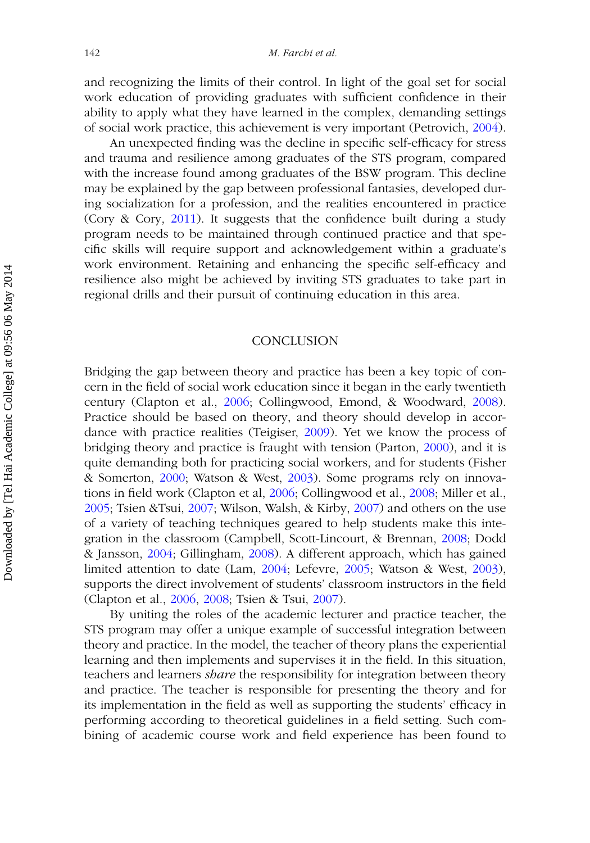and recognizing the limits of their control. In light of the goal set for social work education of providing graduates with sufficient confidence in their ability to apply what they have learned in the complex, demanding settings of social work practice, this achievement is very important (Petrovich, [2004\)](#page-19-14).

An unexpected finding was the decline in specific self-efficacy for stress and trauma and resilience among graduates of the STS program, compared with the increase found among graduates of the BSW program. This decline may be explained by the gap between professional fantasies, developed during socialization for a profession, and the realities encountered in practice (Cory & Cory, [2011\)](#page-18-7). It suggests that the confidence built during a study program needs to be maintained through continued practice and that specific skills will require support and acknowledgement within a graduate's work environment. Retaining and enhancing the specific self-efficacy and resilience also might be achieved by inviting STS graduates to take part in regional drills and their pursuit of continuing education in this area.

### **CONCLUSION**

Bridging the gap between theory and practice has been a key topic of concern in the field of social work education since it began in the early twentieth century (Clapton et al., [2006;](#page-18-8) Collingwood, Emond, & Woodward, [2008\)](#page-18-9). Practice should be based on theory, and theory should develop in accordance with practice realities (Teigiser, [2009\)](#page-19-15). Yet we know the process of bridging theory and practice is fraught with tension (Parton, [2000\)](#page-19-16), and it is quite demanding both for practicing social workers, and for students (Fisher & Somerton, [2000;](#page-18-10) Watson & West, [2003\)](#page-20-3). Some programs rely on innovations in field work (Clapton et al, [2006;](#page-18-8) Collingwood et al., [2008;](#page-18-9) Miller et al., [2005;](#page-19-17) Tsien &Tsui, [2007;](#page-20-4) Wilson, Walsh, & Kirby, [2007\)](#page-20-5) and others on the use of a variety of teaching techniques geared to help students make this integration in the classroom (Campbell, Scott-Lincourt, & Brennan, [2008;](#page-17-3) Dodd & Jansson, [2004;](#page-18-11) Gillingham, [2008\)](#page-18-12). A different approach, which has gained limited attention to date (Lam, [2004;](#page-18-13) Lefevre, [2005;](#page-18-14) Watson & West, [2003\)](#page-20-3), supports the direct involvement of students' classroom instructors in the field (Clapton et al., [2006,](#page-18-8) [2008;](#page-18-15) Tsien & Tsui, [2007\)](#page-20-4).

By uniting the roles of the academic lecturer and practice teacher, the STS program may offer a unique example of successful integration between theory and practice. In the model, the teacher of theory plans the experiential learning and then implements and supervises it in the field. In this situation, teachers and learners *share* the responsibility for integration between theory and practice. The teacher is responsible for presenting the theory and for its implementation in the field as well as supporting the students' efficacy in performing according to theoretical guidelines in a field setting. Such combining of academic course work and field experience has been found to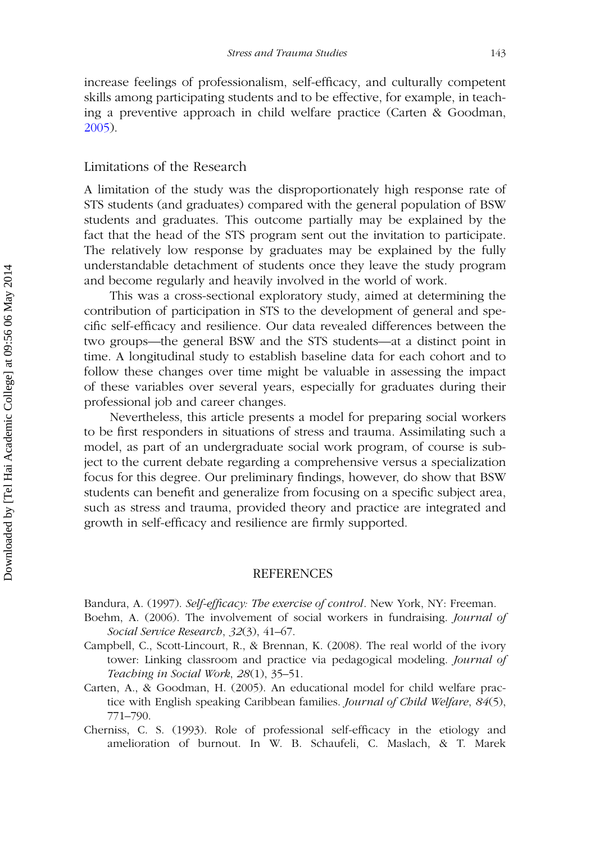increase feelings of professionalism, self-efficacy, and culturally competent skills among participating students and to be effective, for example, in teaching a preventive approach in child welfare practice (Carten & Goodman, [2005\)](#page-17-4).

## Limitations of the Research

A limitation of the study was the disproportionately high response rate of STS students (and graduates) compared with the general population of BSW students and graduates. This outcome partially may be explained by the fact that the head of the STS program sent out the invitation to participate. The relatively low response by graduates may be explained by the fully understandable detachment of students once they leave the study program and become regularly and heavily involved in the world of work.

This was a cross-sectional exploratory study, aimed at determining the contribution of participation in STS to the development of general and specific self-efficacy and resilience. Our data revealed differences between the two groups—the general BSW and the STS students—at a distinct point in time. A longitudinal study to establish baseline data for each cohort and to follow these changes over time might be valuable in assessing the impact of these variables over several years, especially for graduates during their professional job and career changes.

Nevertheless, this article presents a model for preparing social workers to be first responders in situations of stress and trauma. Assimilating such a model, as part of an undergraduate social work program, of course is subject to the current debate regarding a comprehensive versus a specialization focus for this degree. Our preliminary findings, however, do show that BSW students can benefit and generalize from focusing on a specific subject area, such as stress and trauma, provided theory and practice are integrated and growth in self-efficacy and resilience are firmly supported.

#### **REFERENCES**

<span id="page-17-0"></span>Bandura, A. (1997). *Self-efficacy: The exercise of control*. New York, NY: Freeman.

- <span id="page-17-2"></span>Boehm, A. (2006). The involvement of social workers in fundraising. *Journal of Social Service Research*, *32*(3), 41–67.
- <span id="page-17-3"></span>Campbell, C., Scott-Lincourt, R., & Brennan, K. (2008). The real world of the ivory tower: Linking classroom and practice via pedagogical modeling. *Journal of Teaching in Social Work*, *28*(1), 35–51.
- <span id="page-17-4"></span>Carten, A., & Goodman, H. (2005). An educational model for child welfare practice with English speaking Caribbean families. *Journal of Child Welfare*, *84*(5), 771–790.

<span id="page-17-1"></span>Cherniss, C. S. (1993). Role of professional self-efficacy in the etiology and amelioration of burnout. In W. B. Schaufeli, C. Maslach, & T. Marek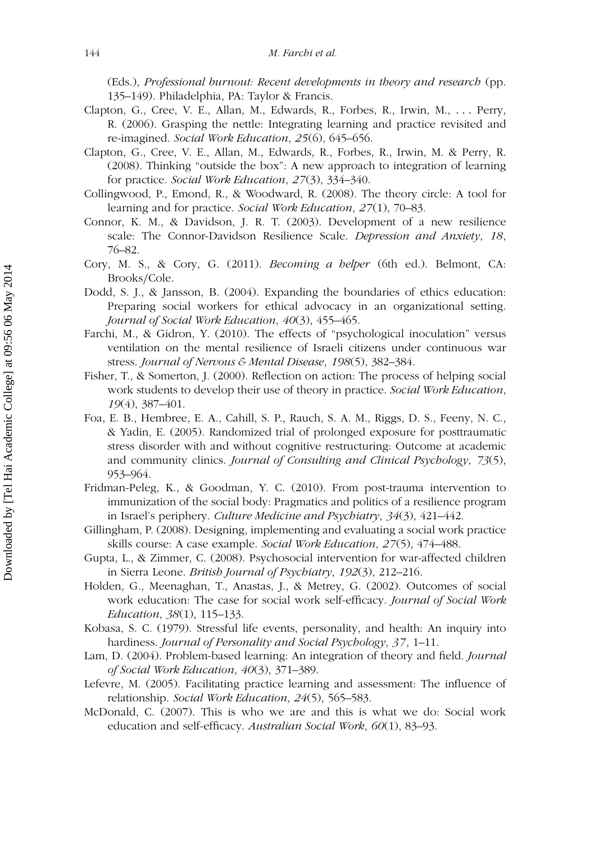(Eds.), *Professional burnout: Recent developments in theory and research* (pp. 135–149). Philadelphia, PA: Taylor & Francis.

- <span id="page-18-8"></span>Clapton, G., Cree, V. E., Allan, M., Edwards, R., Forbes, R., Irwin, M., *...* Perry, R. (2006). Grasping the nettle: Integrating learning and practice revisited and re-imagined. *Social Work Education*, *25*(6), 645–656.
- <span id="page-18-15"></span>Clapton, G., Cree, V. E., Allan, M., Edwards, R., Forbes, R., Irwin, M. & Perry, R. (2008). Thinking "outside the box": A new approach to integration of learning for practice. *Social Work Education*, *27*(3), 334–340.
- <span id="page-18-9"></span>Collingwood, P., Emond, R., & Woodward, R. (2008). The theory circle: A tool for learning and for practice. *Social Work Education*, *27*(1), 70–83.
- <span id="page-18-6"></span>Connor, K. M., & Davidson, J. R. T. (2003). Development of a new resilience scale: The Connor-Davidson Resilience Scale. *Depression and Anxiety*, *18*, 76–82.
- <span id="page-18-7"></span>Cory, M. S., & Cory, G. (2011). *Becoming a helper* (6th ed.). Belmont, CA: Brooks*/*Cole.
- <span id="page-18-11"></span>Dodd, S. J., & Jansson, B. (2004). Expanding the boundaries of ethics education: Preparing social workers for ethical advocacy in an organizational setting. *Journal of Social Work Education*, *40*(3), 455–465.
- <span id="page-18-2"></span>Farchi, M., & Gidron, Y. (2010). The effects of "psychological inoculation" versus ventilation on the mental resilience of Israeli citizens under continuous war stress. *Journal of Nervous & Mental Disease*, *198*(5), 382–384.
- <span id="page-18-10"></span>Fisher, T., & Somerton, J. (2000). Reflection on action: The process of helping social work students to develop their use of theory in practice. *Social Work Education*, *19*(4), 387–401.
- <span id="page-18-0"></span>Foa, E. B., Hembree, E. A., Cahill, S. P., Rauch, S. A. M., Riggs, D. S., Feeny, N. C., & Yadin, E. (2005). Randomized trial of prolonged exposure for posttraumatic stress disorder with and without cognitive restructuring: Outcome at academic and community clinics. *Journal of Consulting and Clinical Psychology*, *73*(5), 953–964.
- <span id="page-18-3"></span>Fridman-Peleg, K., & Goodman, Y. C. (2010). From post-trauma intervention to immunization of the social body: Pragmatics and politics of a resilience program in Israel's periphery. *Culture Medicine and Psychiatry*, *34*(3), 421–442.
- <span id="page-18-12"></span>Gillingham, P. (2008). Designing, implementing and evaluating a social work practice skills course: A case example. *Social Work Education*, *27*(5), 474–488.
- <span id="page-18-1"></span>Gupta, L., & Zimmer, C. (2008). Psychosocial intervention for war-affected children in Sierra Leone. *British Journal of Psychiatry*, *192*(3), 212–216.
- <span id="page-18-4"></span>Holden, G., Meenaghan, T., Anastas, J., & Metrey, G. (2002). Outcomes of social work education: The case for social work self-efficacy. *Journal of Social Work Education*, *38*(1), 115–133.
- <span id="page-18-5"></span>Kobasa, S. C. (1979). Stressful life events, personality, and health: An inquiry into hardiness. *Journal of Personality and Social Psychology*, *37*, 1–11.
- <span id="page-18-13"></span>Lam, D. (2004). Problem-based learning: An integration of theory and field. *Journal of Social Work Education*, *40*(3), 371–389.
- <span id="page-18-14"></span>Lefevre, M. (2005). Facilitating practice learning and assessment: The influence of relationship. *Social Work Education*, *24*(5), 565–583.
- McDonald, C. (2007). This is who we are and this is what we do: Social work education and self-efficacy. *Australian Social Work*, *60*(1), 83–93.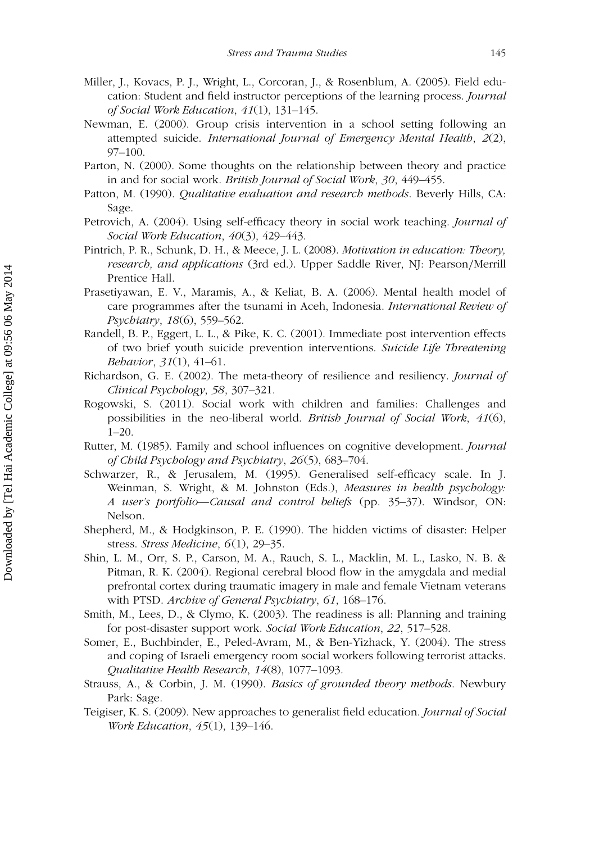- <span id="page-19-17"></span>Miller, J., Kovacs, P. J., Wright, L., Corcoran, J., & Rosenblum, A. (2005). Field education: Student and field instructor perceptions of the learning process. *Journal of Social Work Education*, *41*(1), 131–145.
- <span id="page-19-2"></span>Newman, E. (2000). Group crisis intervention in a school setting following an attempted suicide. *International Journal of Emergency Mental Health*, *2*(2), 97–100.
- <span id="page-19-16"></span>Parton, N. (2000). Some thoughts on the relationship between theory and practice in and for social work. *British Journal of Social Work*, *30*, 449–455.
- <span id="page-19-12"></span>Patton, M. (1990). *Qualitative evaluation and research methods*. Beverly Hills, CA: Sage.
- <span id="page-19-14"></span>Petrovich, A. (2004). Using self-efficacy theory in social work teaching. *Journal of Social Work Education*, *40*(3), 429–443.
- <span id="page-19-8"></span>Pintrich, P. R., Schunk, D. H., & Meece, J. L. (2008). *Motivation in education: Theory, research, and applications* (3rd ed.). Upper Saddle River, NJ: Pearson*/*Merrill Prentice Hall.
- <span id="page-19-1"></span>Prasetiyawan, E. V., Maramis, A., & Keliat, B. A. (2006). Mental health model of care programmes after the tsunami in Aceh, Indonesia. *International Review of Psychiatry*, *18*(6), 559–562.
- <span id="page-19-3"></span>Randell, B. P., Eggert, L. L., & Pike, K. C. (2001). Immediate post intervention effects of two brief youth suicide prevention interventions. *Suicide Life Threatening Behavior*, *31*(1), 41–61.
- <span id="page-19-9"></span>Richardson, G. E. (2002). The meta-theory of resilience and resiliency. *Journal of Clinical Psychology*, *58*, 307–321.
- <span id="page-19-5"></span>Rogowski, S. (2011). Social work with children and families: Challenges and possibilities in the neo-liberal world. *British Journal of Social Work*, *41*(6), 1–20.
- <span id="page-19-10"></span>Rutter, M. (1985). Family and school influences on cognitive development. *Journal of Child Psychology and Psychiatry*, *26*(5), 683–704.
- <span id="page-19-11"></span>Schwarzer, R., & Jerusalem, M. (1995). Generalised self-efficacy scale. In J. Weinman, S. Wright, & M. Johnston (Eds.), *Measures in health psychology: A user's portfolio—Causal and control beliefs* (pp. 35–37). Windsor, ON: Nelson.
- <span id="page-19-7"></span>Shepherd, M., & Hodgkinson, P. E. (1990). The hidden victims of disaster: Helper stress. *Stress Medicine*, *6*(1), 29–35.
- <span id="page-19-0"></span>Shin, L. M., Orr, S. P., Carson, M. A., Rauch, S. L., Macklin, M. L., Lasko, N. B. & Pitman, R. K. (2004). Regional cerebral blood flow in the amygdala and medial prefrontal cortex during traumatic imagery in male and female Vietnam veterans with PTSD. *Archive of General Psychiatry*, *61*, 168–176.
- <span id="page-19-6"></span>Smith, M., Lees, D., & Clymo, K. (2003). The readiness is all: Planning and training for post-disaster support work. *Social Work Education*, *22*, 517–528.
- <span id="page-19-4"></span>Somer, E., Buchbinder, E., Peled-Avram, M., & Ben-Yizhack, Y. (2004). The stress and coping of Israeli emergency room social workers following terrorist attacks. *Qualitative Health Research*, *14*(8), 1077–1093.
- <span id="page-19-13"></span>Strauss, A., & Corbin, J. M. (1990). *Basics of grounded theory methods*. Newbury Park: Sage.
- <span id="page-19-15"></span>Teigiser, K. S. (2009). New approaches to generalist field education. *Journal of Social Work Education*, *45*(1), 139–146.